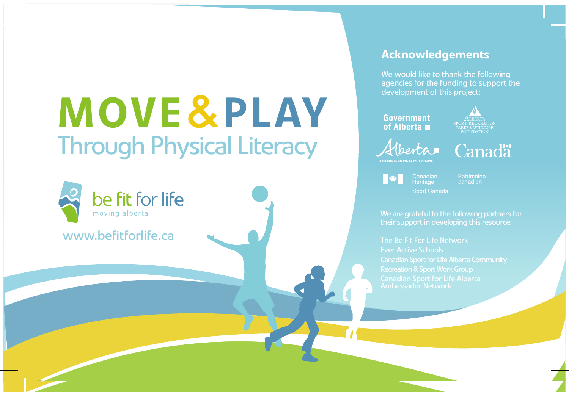www.befitforlife.ca

be fit for life moving alberta

#### Acknowledgements

We would like to thank the following agencies for the funding to support the development of this project:

#### **Government** of Alberta $\blacksquare$

Alberta



canadien

their support in developing this resource: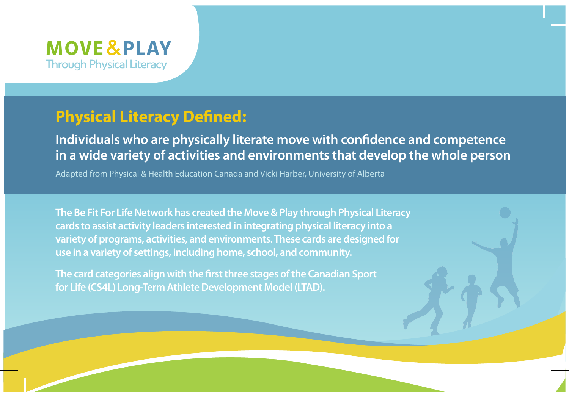

 $\overline{\phantom{a}}$ 

### **Physical Literacy Defined:**

**Individuals who are physically literate move with confidence and competence in a wide variety of activities and environments that develop the whole person**

Adapted from Physical & Health Education Canada and Vicki Harber, University of Alberta

**The Be Fit For Life Network has created the Move & Play through Physical Literacy cards to assist activity leaders interested in integrating physical literacy into a variety of programs, activities, and environments. These cards are designed for use in a variety of settings, including home, school, and community.** 

**The card categories align with the first three stages of the Canadian Sport for Life (CS4L) Long-Term Athlete Development Model (LTAD).** 

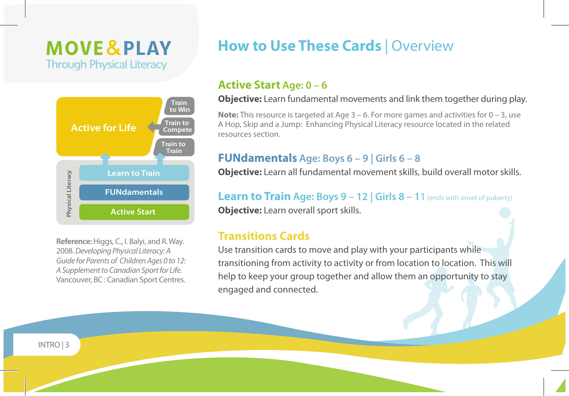

**Reference:** Higgs, C., I. Balyi, and R. Way. 2008. *Developing Physical Literacy: A Guide for Parents of Children Ages 0 to 12: A Supplement to Canadian Sport for Life.*  Vancouver, BC : Canadian Sport Centres.

### **How to Use These Cards** | Overview

#### **Active Start Age: 0 – 6**

**Objective:** Learn fundamental movements and link them together during play.

**Note:** This resource is targeted at Age 3 – 6. For more games and activities for 0 – 3, use A Hop, Skip and a Jump: Enhancing Physical Literacy resource located in the related resources section.

#### **FUNdamentals Age: Boys 6 – 9 | Girls 6 – 8**

**Objective:** Learn all fundamental movement skills, build overall motor skills.

**Learn to Train Age: Boys 9 – 12 | Girls 8 – 11** (ends with onset of puberty) **Objective:** Learn overall sport skills.

#### **Transitions Cards**

Use transition cards to move and play with your participants while transitioning from activity to activity or from location to location. This will help to keep your group together and allow them an opportunity to stay engaged and connected.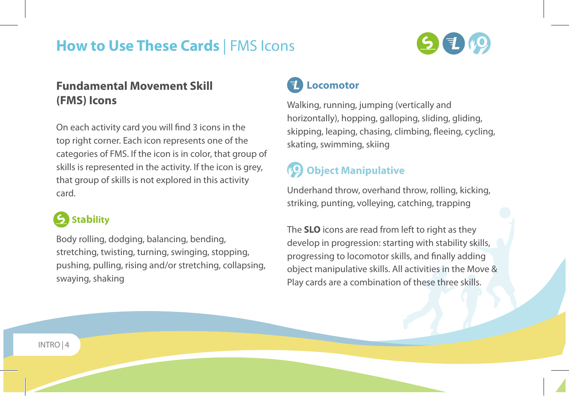## **How to Use These Cards** | FMS Icons

### **Fundamental Movement Skill (FMS) Icons**

On each activity card you will find 3 icons in the top right corner. Each icon represents one of the categories of FMS. If the icon is in color, that group of skills is represented in the activity. If the icon is grey, that group of skills is not explored in this activity card.

### **Stability**

Body rolling, dodging, balancing, bending, stretching, twisting, turning, swinging, stopping, pushing, pulling, rising and/or stretching, collapsing, swaying, shaking



### **Locomotor**

Walking, running, jumping (vertically and horizontally), hopping, galloping, sliding, gliding, skipping, leaping, chasing, climbing, fleeing, cycling, skating, swimming, skiing

### **Object Manipulative**

Underhand throw, overhand throw, rolling, kicking, striking, punting, volleying, catching, trapping

The **SLO** icons are read from left to right as they develop in progression: starting with stability skills, progressing to locomotor skills, and finally adding object manipulative skills. All activities in the Move & Play cards are a combination of these three skills.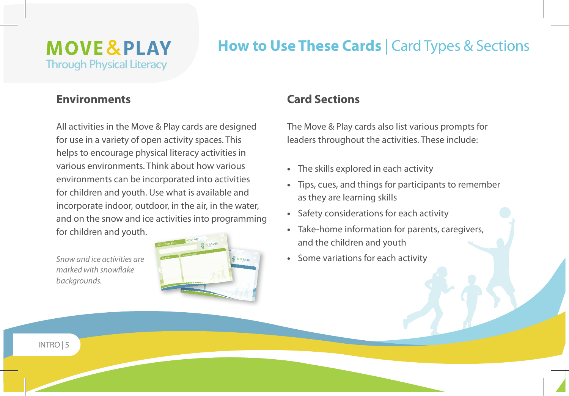### **How to Use These Cards** | Card Types & Sections

#### **Environments**

All activities in the Move & Play cards are designed for use in a variety of open activity spaces. This helps to encourage physical literacy activities in various environments. Think about how various environments can be incorporated into activities for children and youth. Use what is available and incorporate indoor, outdoor, in the air, in the water, and on the snow and ice activities into programming for children and youth.

*marked with snowflake backgrounds.*



#### **Card Sections**

The Move & Play cards also list various prompts for leaders throughout the activities. These include:

- **•**  The skills explored in each activity
- **•**  Tips, cues, and things for participants to remember as they are learning skills
- **•**  Safety considerations for each activity
- **•**  Take-home information for parents, caregivers, and the children and youth
- **Snow and ice activities are <b>Figure** 1 **Some variations for each activity**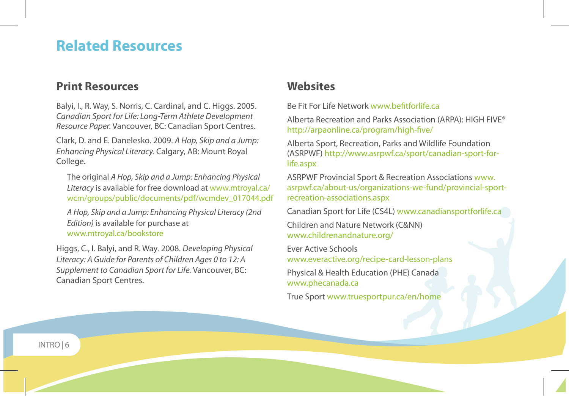### **Related Resources**

#### **Print Resources**

Balyi, I., R. Way, S. Norris, C. Cardinal, and C. Higgs. 2005. *Canadian Sport for Life: Long-Term Athlete Development Resource Paper.* Vancouver, BC: Canadian Sport Centres. Clark, D. and E. Danelesko. 2009. *A Hop, Skip and a Jump:* 

*Enhancing Physical Literacy.* Calgary, AB: Mount Royal College.

The original *A Hop, Skip and a Jump: Enhancing Physical Literacy* is available for free download at www.mtroyal.ca/ wcm/groups/public/documents/pdf/wcmdev\_017044.pdf

*A Hop, Skip and a Jump: Enhancing Physical Literacy (2nd Edition)* is available for purchase at www.mtroyal.ca/bookstore

Higgs, C., I. Balyi, and R. Way. 2008. *Developing Physical Literacy: A Guide for Parents of Children Ages 0 to 12: A Supplement to Canadian Sport for Life.* Vancouver, BC: Canadian Sport Centres.

#### **Websites**

Be Fit For Life Network www.befitforlife.ca

Alberta Recreation and Parks Association (ARPA): HIGH FIVE® http://arpaonline.ca/program/high-five/

Alberta Sport, Recreation, Parks and Wildlife Foundation (ASRPWF) http://www.asrpwf.ca/sport/canadian-sport-forlife.aspx

ASRPWF Provincial Sport & Recreation Associations www. asrpwf.ca/about-us/organizations-we-fund/provincial-sportrecreation-associations.aspx

Canadian Sport for Life (CS4L) www.canadiansportforlife.ca

Children and Nature Network (C&NN) www.childrenandnature.org/

Ever Active Schools www.everactive.org/recipe-card-lesson-plans

Physical & Health Education (PHE) Canada www.phecanada.ca

True Sport www.truesportpur.ca/en/home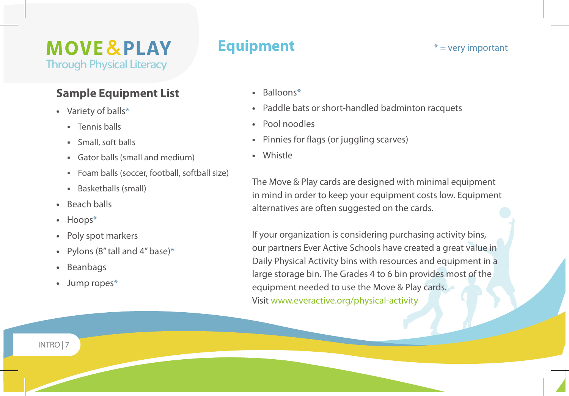#### **Sample Equipment List**

- **•**  Variety of balls\*
	- **Tennis halls**
	- Small, soft balls
	- Gator balls (small and medium)
	- Foam balls (soccer, football, softball size)
	- Basketballs (small)
- **•**  Beach balls
- **•**  Hoops\*
- **•**  Poly spot markers
- Pylons (8" tall and 4" base)\*
- **•**  Beanbags
- **•**  Jump ropes\*

### **Equipment**  $*$  = very important

- **•**  Balloons\*
- **•**  Paddle bats or short-handled badminton racquets
- **•**  Pool noodles
- **•**  Pinnies for flags (or juggling scarves)
- **•**  Whistle

The Move & Play cards are designed with minimal equipment in mind in order to keep your equipment costs low. Equipment alternatives are often suggested on the cards.

If your organization is considering purchasing activity bins, our partners Ever Active Schools have created a great value in Daily Physical Activity bins with resources and equipment in a large storage bin. The Grades 4 to 6 bin provides most of the equipment needed to use the Move & Play cards. Visit www.everactive.org/physical-activity